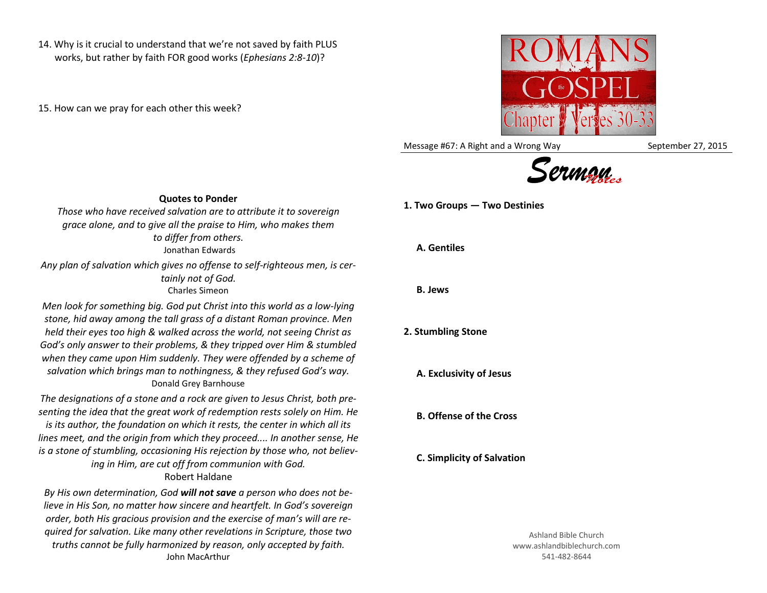14. Why is it crucial to understand that we're not saved by faith PLUS works, but rather by faith FOR good works (*Ephesians 2:8-10*)?

15. How can we pray for each other this week?



Message #67: A Right and a Wrong Way September 27, 2015



**1. Two Groups — Two Destinies**

**Quotes to Ponder**

*Those who have received salvation are to attribute it to sovereign grace alone, and to give all the praise to Him, who makes them to differ from others.* Jonathan Edwards

*Any plan of salvation which gives no offense to self-righteous men, is certainly not of God.* Charles Simeon

*Men look for something big. God put Christ into this world as a low-lying stone, hid away among the tall grass of a distant Roman province. Men held their eyes too high & walked across the world, not seeing Christ as God's only answer to their problems, & they tripped over Him & stumbled when they came upon Him suddenly. They were offended by a scheme of salvation which brings man to nothingness, & they refused God's way.* Donald Grey Barnhouse

*The designations of a stone and a rock are given to Jesus Christ, both presenting the idea that the great work of redemption rests solely on Him. He is its author, the foundation on which it rests, the center in which all its lines meet, and the origin from which they proceed.... In another sense, He is a stone of stumbling, occasioning His rejection by those who, not believing in Him, are cut off from communion with God.*

## Robert Haldane

*By His own determination, God will not save a person who does not believe in His Son, no matter how sincere and heartfelt. In God's sovereign order, both His gracious provision and the exercise of man's will are required for salvation. Like many other revelations in Scripture, those two truths cannot be fully harmonized by reason, only accepted by faith.* John MacArthur

## **A. Gentiles**

**B. Jews**

## **2. Stumbling Stone**

**A. Exclusivity of Jesus**

**B. Offense of the Cross**

**C. Simplicity of Salvation**

Ashland Bible Church www.ashlandbiblechurch.com 541-482-8644